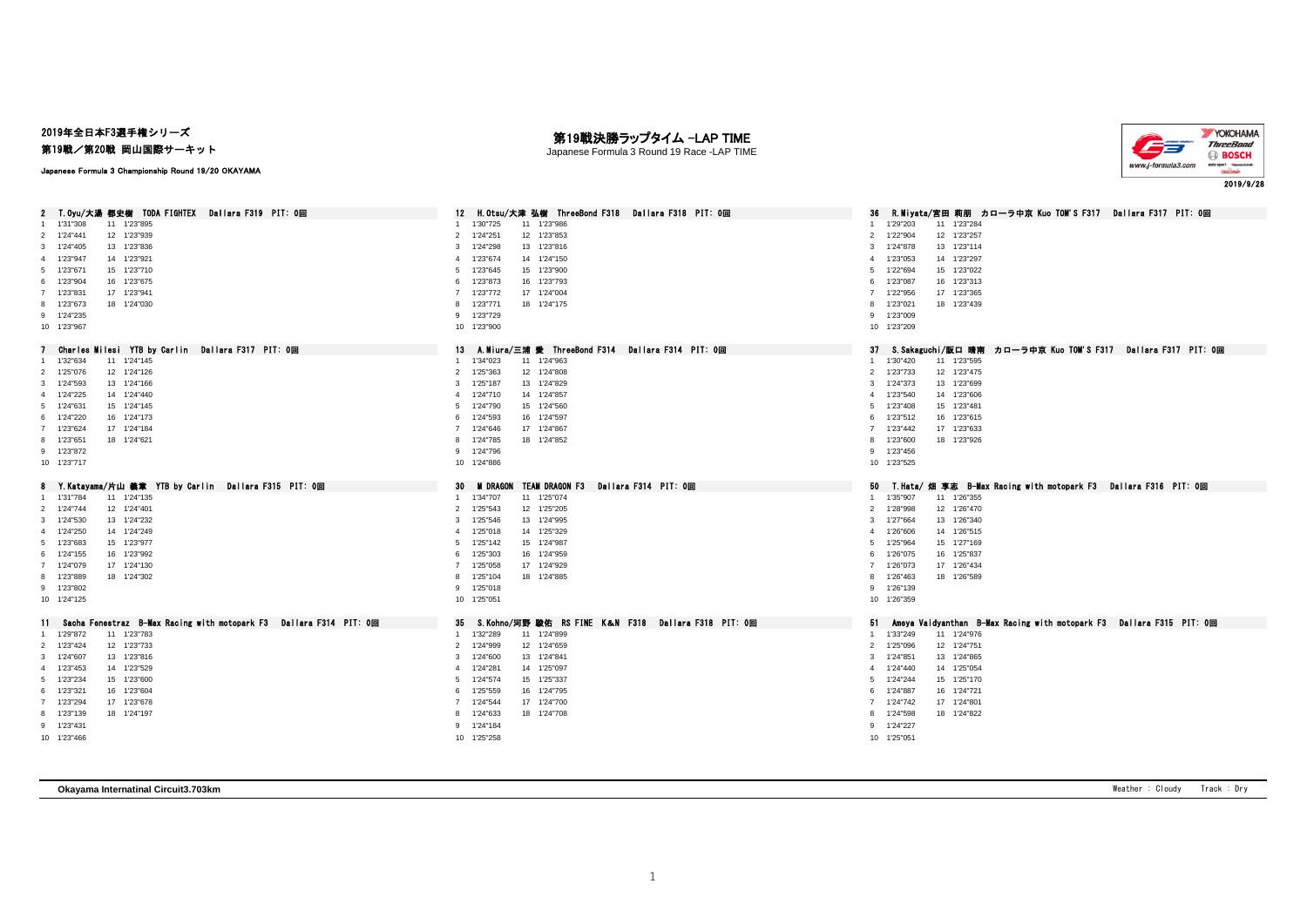## 2019年全日本F3選手権シリーズ

第19戦/第20戦 岡山国際サーキット

Japanese Formula 3 Championship Round 19/20 OKAYAMA

## 第19戦決勝ラップタイム -LAP TIME

Japanese Formula 3 Round 19 Race -LAP TIME



| T.Ovu/大湯 都史樹 TODA FIGHTEX Dallara F319 PIT:0回<br>$\mathbf{2}$                      | H.Otsu/大津 弘樹 ThreeBond F318 Dailara F318 PIT: 0回<br>12           | - R.Mivata/宮田 莉朋 - カローラ中京 Kuo TOM'S F317 - Dallara F317 - PIT: 0回<br>36                            |
|------------------------------------------------------------------------------------|------------------------------------------------------------------|----------------------------------------------------------------------------------------------------|
| 1'31"308<br>11 1'23"895                                                            | 1 1'30"725<br>11 1'23"986                                        | 1'29"203<br>11 1'23"284                                                                            |
| 2 1'24"441<br>12 1'23"939                                                          | 12 1'23"853<br>1'24"251<br>$\overline{2}$                        | 1'22"904<br>12 1'23"257<br>$\overline{2}$                                                          |
| 3 1'24"405<br>13 1'23"836                                                          | 13 1'23"816<br>3<br>1'24"298                                     | 3<br>1'24"878<br>13 1'23"114                                                                       |
| 4 1'23"947<br>14 1'23"921                                                          | 14 1'24"150<br>1'23"674<br>$\Delta$                              | 1'23"053<br>14 1'23"297<br>$\mathbf{A}$                                                            |
| 5 1'23"671<br>15 1'23"710                                                          | 15 1'23"900<br>5<br>1'23"645                                     | 1'22"694<br>15 1'23"022<br>5                                                                       |
| 6 1'23"904<br>16 1'23"675                                                          | 16 1'23"793<br>6<br>1'23"873                                     | 16 1'23"313<br>6<br>1'23"087                                                                       |
| 17 1'23"941<br>7 1'23"831                                                          | 17 1'24"004<br>$\overline{7}$<br>1'23"772                        | 17 1'23"365<br>1'22"956<br>$\overline{7}$                                                          |
| 8 1'23"673<br>18 1'24"030                                                          | 1'23"771<br>18 1'24"175<br>8                                     | 1'23"021<br>18 1'23"439<br>8                                                                       |
| 9 1'24"235                                                                         | 9 1'23"729                                                       | 1'23"009<br>9                                                                                      |
| 10 1'23"967                                                                        | 10 1'23"900                                                      | 10 1'23"209                                                                                        |
|                                                                                    |                                                                  |                                                                                                    |
| Charles Milesi YTB by Carlin Dallara F317 PIT: Om                                  | A.Miura/三浦 愛 ThreeBond F314  Dallara F314  PIT: 0回<br>13         | 37<br>- S.Sakaguchi/版口 晴南 カロ―ラ中京 Kuo TOM'S F317  Dallara F317 PIT: 0回                              |
| 11 1'24"145<br>1'32"634                                                            | 1'34"023<br>11 1'24"963<br>$\mathbf{1}$                          | 1'30"420<br>11 1'23"595                                                                            |
| 2 1'25"076<br>12 1'24"126                                                          | 2 1'25"363<br>12 1'24"808                                        | $\overline{2}$<br>1'23"733<br>12 1'23"475                                                          |
| 3 1'24"593<br>13 1'24"166                                                          | $\mathbf{3}$<br>1'25"187<br>13 1'24"829                          | 1'24"373<br>13 1'23"699<br>3                                                                       |
| 14 1'24"440<br>4 1'24"225                                                          | 14 1'24"857<br>$\overline{4}$<br>1'24"710                        | 14 1'23"606<br>1'23"540<br>$\overline{4}$                                                          |
| 5 1'24"631<br>15 1'24"145                                                          | 15 1'24"560<br>1'24"790<br>5                                     | 15 1'23"481<br>1'23"408<br>-5                                                                      |
| 6 1'24"220<br>16 1'24"173                                                          | 16 1'24"597<br>6<br>1'24"593                                     | 16 1'23"615<br>6<br>1'23"512                                                                       |
| 17 1'24"184<br>7 1'23"624                                                          | 17 1'24"867<br>7 1'24"646                                        | 17 1'23"633<br>$\overline{7}$<br>1'23"442                                                          |
| 18 1'24"621<br>8 1'23"651                                                          | 18 1'24"852<br>8 1'24"785                                        | 1'23"600<br>18 1'23"926<br>8                                                                       |
| 9 1'23"872                                                                         | 9 1'24"796                                                       | 1'23"456<br>9                                                                                      |
| 10 1'23"717                                                                        | 10 1'24"886                                                      | 10 1'23"525                                                                                        |
|                                                                                    |                                                                  |                                                                                                    |
|                                                                                    |                                                                  |                                                                                                    |
| 8                                                                                  | 30<br><b>M DRAGON</b>                                            | 50                                                                                                 |
| Y.Katayama/片山 義章 YTB by Carlin - Dallara F315 PIT: 0回<br>1 1'31"784<br>11 1'24"135 | TEAM DRAGON F3 Dallara F314 PIT: 0回<br>1 1'34"707<br>11 1'25"074 | - T.Hata/ 畑 享志 B—Max Racing with motopark F3  Dallara F316 PIT: 0回<br>1'35"907<br>11 1'26"355<br>1 |
| 12 1'24"401<br>2 1'24"744                                                          | 12 1'25"205<br>2 1'25"543                                        | 12 1'26"470<br>2<br>1'28"998                                                                       |
|                                                                                    |                                                                  | 3                                                                                                  |
| 3 1'24"530<br>13 1'24"232                                                          | 3 1'25"546<br>13 1'24"995<br>4                                   | 1'27"664<br>13 1'26"340<br>$\overline{4}$                                                          |
| 4 1'24"250<br>14 1'24"249                                                          | 14 1'25"329<br>1'25"018<br>1'25"142                              | 14 1'26"515<br>1'26"606<br>5                                                                       |
| 5 1'23"683<br>15 1'23"977                                                          | 15 1'24"987<br>5<br>6                                            | 15 1'27"169<br>1'25"964<br>-6                                                                      |
| 6 1'24"155<br>16 1'23"992                                                          | 16 1'24"959<br>1'25"303                                          | 1'26"075<br>16 1'25"837<br>$\overline{7}$                                                          |
| 7 1'24"079<br>17 1'24"130                                                          | $\overline{7}$<br>1'25"058<br>17 1'24"929                        | 1'26"073<br>17 1'26"434<br>8                                                                       |
| 8 1'23"889<br>18 1'24"302                                                          | 8 1'25"104<br>18 1'24"885                                        | 1'26"463<br>18 1'26"589                                                                            |
| 9 1'23"802                                                                         | 9 1'25"018                                                       | 1'26"139<br>9                                                                                      |
| 10 1'24"125                                                                        | 10 1'25"051                                                      | 10 1'26"359                                                                                        |
|                                                                                    |                                                                  |                                                                                                    |
| 11 Sacha Fenestraz B-Max Racing with motopark F3 Dallara F314 PIT: 0回              | 35 S. Kohno/河野 駿佑 RS FINE K&N F318 Dallara F318 PIT: 0回          | 51<br>Ameya Vaidyanthan B-Max Racing with motopark F3 Dallara F315 PIT: 0回<br>1                    |
| 1 1'29"872<br>11 1'23"783                                                          | 1 1'32"289<br>11 1'24"899                                        | 1'33"249<br>11 1'24"976                                                                            |
| 12 1'23"733<br>2 1'23"424                                                          | 12 1'24"659<br>2 1'24"999                                        | 12 1'24"751<br>2<br>1'25"096                                                                       |
| 3 1'24"607<br>13 1'23"816                                                          | 13 1'24"841<br>3<br>1'24"600                                     | 1'24"851<br>13 1'24"865<br>3                                                                       |
| 4 1'23"453<br>14 1'23"529                                                          | 14 1'25"097<br>1'24"281<br>4                                     | 1'24"440<br>14 1'25"054<br>4                                                                       |
| 5 1'23"234<br>15 1'23"600                                                          | 15 1'25"337<br>1'24"574<br>5                                     | 1'24"244<br>15 1'25"170<br>5                                                                       |
| 6 1'23"321<br>16 1'23"604                                                          | 16 1'24"795<br>6<br>1'25"559                                     | 1'24"887<br>16 1'24"721<br>6                                                                       |
| 7 1'23"294<br>17 1'23"678                                                          | 17 1'24"700<br>1'24"544<br>$7^{\circ}$                           | 1'24"742<br>17 1'24"801<br>$\overline{7}$                                                          |
| 8 1'23"139<br>18 1'24"197                                                          | 1'24"633<br>18 1'24"708<br>8                                     | 1'24"598<br>18 1'24"822<br>$\mathbf{R}$                                                            |
| 9 1'23"431<br>10 1'23"466                                                          | 9 1'24"184<br>10 1'25"258                                        | 1'24"227<br>9<br>10 1'25"051                                                                       |